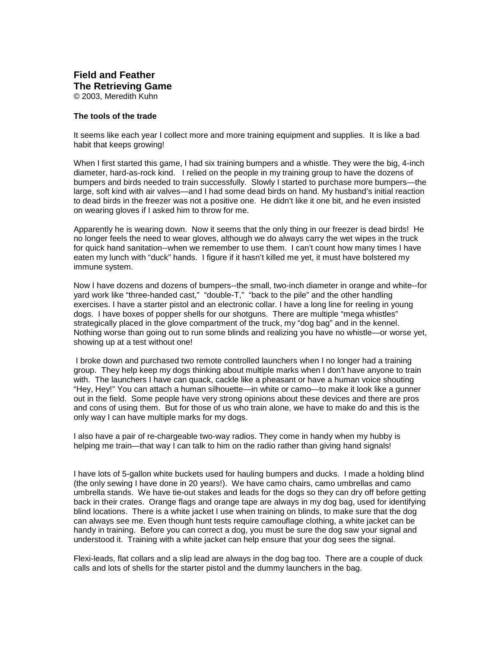## **Field and Feather The Retrieving Game** © 2003, Meredith Kuhn

## **The tools of the trade**

ItseemslikeeachyearIcollectmoreandmoretrainingequipmentandsupplies.Itislikeabad habit that keeps growing!

When I first started this game. I had six training bumpers and a whistle. The were the big, 4 -inch diameter, hard -as-rock kind. I relied on the people in my training group to have the dozens of bumpers and birds needed to train successfully. Slowly I started to purchase more bumpers — the large, s oft kind with airvalves —and I had some dead birds on hand. My hus band's initial reaction to dead birds in the freezer was not a positive one. He didn't like it one bit, and he even insisted on wearing gloves if lasked him to throw forme.

Apparently he is wearing down. Now its eems that the only thing in our freezer is dead birds! He nolonger feels the need to wear gloves, although we do always carry the wet wipes in the truck for quick hand sanitation --when we remember to use them. I can't count ho w many times thave eaten my lunch with "duck" hands. I figure if it hasn't killed meyet, it must have bold tered my immunesystem.

Now I have dozens and dozens of bumpers ---the small, two -inch diameter in orange and white --for yard work like "three -handed cast," "double -T," "back to the pile" and the other handling exercises. I have a starter pistol and an electronic collar. I have a long line for reeling in young dogs. I have boxes of popper shells for our shot guns. The reare multiple "mega whistles" strategically placed in the glove compartment of the truck, my "dogbag" and in the kennel. Nothing worse than going out to run some blinds and realizing you have now histle  $\sim$  -or worse yet, showing up at a test without one!

Ibrokedown and purchased two remote controlled launchers when I no longer had a training group. They help keep my dogs thinking about multiple marks when I don't have any one to train with. The launchers I have can quack, cackle like a pheasant or have a human voices houting "Hey, H ey!" You can attach a human silhouette —in white or camo —to make it look like a gunner outinthe field. Some people have very strong opinions about the sedevices and the reare pros and consofusing them. But for those of us who train alone, we have to m a very aked oand this is the only way I can have multiple marks for my dogs.

lalsohaveapairofre -chargeabletwo -way radios. The ycome in handy when my hubby is helping metrain —that way loantal kto him on the radio rather than giving hand signals!

I havelots of 5 -gallon white buckets used for hauling bumpers and ducks. I made a holding blind (the only sewing I have done in 20 years!). We have camo chairs, camo umbrell as and camo umbrella stands. We have tie -out stakes and leads for the dogs so the y can dry off before getting back in their crates. Orange flags and orange tape are always in my dog bag, used for identifying blind locations. The reisa white jacket luse when training on blinds, to make sure that the dog can always see me. Even thoug h hunt tests require camouflage clothing, a white jacket can be handy intraining. Before you can correct a dog, you must be sure the dogsaw your signal and understoodit. Training with a white jacket can help ensure that your dog sees the signal.

Flexi-leads, flat collars and a slip lead are always in the dog bag too. The reare a couple of duck calls and lots of shells for the starter pistol and the dummy launchers in the bag.